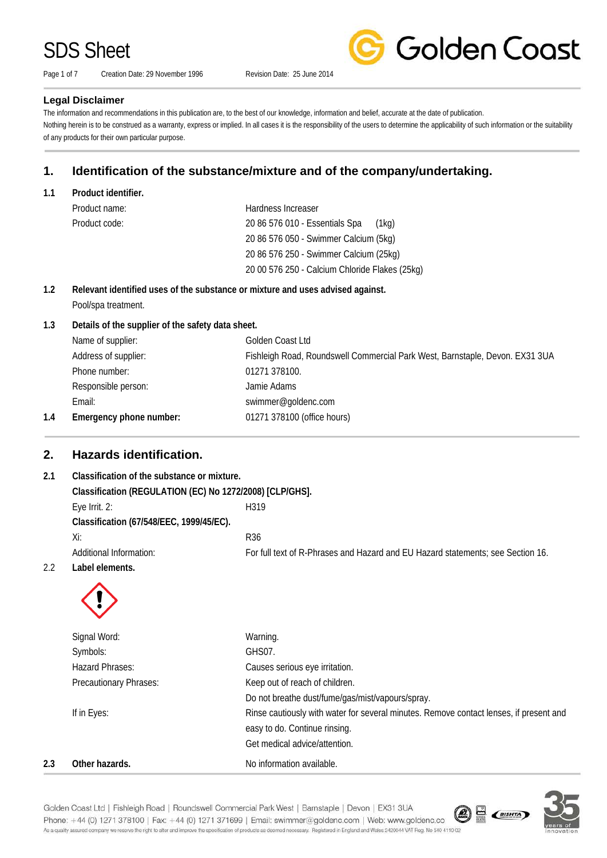Page 1 of 7 Creation Date: 29 November 1996 Revision Date: 25 June 2014



### **Legal Disclaimer**

The information and recommendations in this publication are, to the best of our knowledge, information and belief, accurate at the date of publication. Nothing herein is to be construed as a warranty, express or implied. In all cases it is the responsibility of the users to determine the applicability of such information or the suitability of any products for their own particular purpose.

## **1. Identification of the substance/mixture and of the company/undertaking.**

**1.1 Product identifier.**

| Product name: | Hardness Increaser                             |
|---------------|------------------------------------------------|
| Product code: | 20 86 576 010 - Essentials Spa<br>(1ka)        |
|               | 20 86 576 050 - Swimmer Calcium (5kg)          |
|               | 20 86 576 250 - Swimmer Calcium (25kg)         |
|               | 20 00 576 250 - Calcium Chloride Flakes (25kg) |

### **1.2 Relevant identified uses of the substance or mixture and uses advised against.** Pool/spa treatment.

#### **1.3 Details of the supplier of the safety data sheet.**

|     | Name of supplier:       | Golden Coast Ltd                                                             |
|-----|-------------------------|------------------------------------------------------------------------------|
|     | Address of supplier:    | Fishleigh Road, Roundswell Commercial Park West, Barnstaple, Devon. EX31 3UA |
|     | Phone number:           | 01271 378100.                                                                |
|     | Responsible person:     | Jamie Adams                                                                  |
|     | Email:                  | swimmer@goldenc.com                                                          |
| 1.4 | Emergency phone number: | 01271 378100 (office hours)                                                  |
|     |                         |                                                                              |

## **2. Hazards identification.**

## **2.1 Classification of the substance or mixture. Classification (REGULATION (EC) No 1272/2008) [CLP/GHS].** Eye Irrit. 2: H319 **Classification (67/548/EEC, 1999/45/EC).**  $Xi:$  R36 Additional Information: For full text of R-Phrases and Hazard and EU Hazard statements; see Section 16. 2.2 **Label elements.**



|     | Signal Word:           | Warning.                                                                               |
|-----|------------------------|----------------------------------------------------------------------------------------|
|     | Symbols:               | GHS07.                                                                                 |
|     | Hazard Phrases:        | Causes serious eye irritation.                                                         |
|     | Precautionary Phrases: | Keep out of reach of children.                                                         |
|     |                        | Do not breathe dust/fume/gas/mist/vapours/spray.                                       |
|     | If in Eyes:            | Rinse cautiously with water for several minutes. Remove contact lenses, if present and |
|     |                        | easy to do. Continue rinsing.                                                          |
|     |                        | Get medical advice/attention.                                                          |
| 2.3 | Other hazards.         | No information available.                                                              |



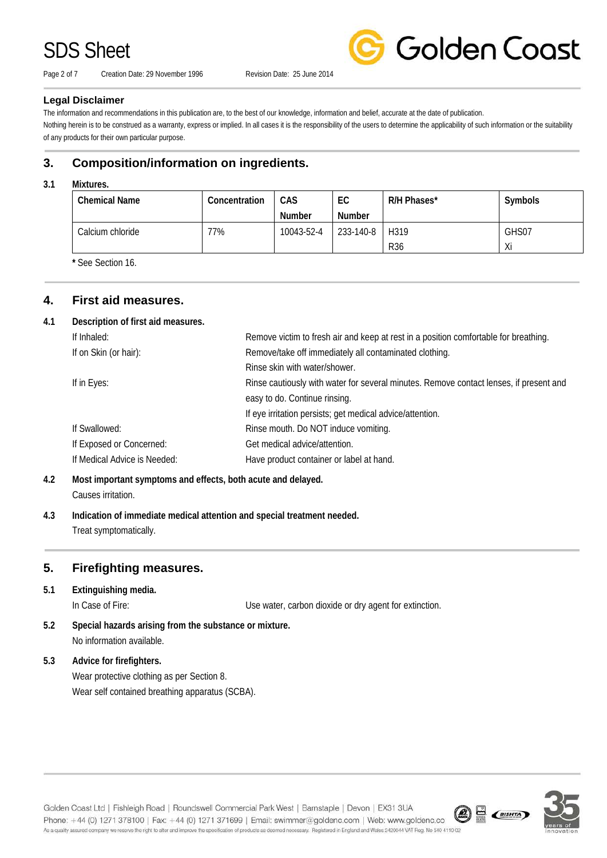Page 2 of 7 Creation Date: 29 November 1996 Revision Date: 25 June 2014



#### **Legal Disclaimer**

The information and recommendations in this publication are, to the best of our knowledge, information and belief, accurate at the date of publication.

Nothing herein is to be construed as a warranty, express or implied. In all cases it is the responsibility of the users to determine the applicability of such information or the suitability of any products for their own particular purpose.

## **3. Composition/information on ingredients.**

#### **3.1 Mixtures.**

| <b>Chemical Name</b> | Concentration | CAS        | EC        | R/H Phases* | Symbols |
|----------------------|---------------|------------|-----------|-------------|---------|
|                      |               | Number     | Number    |             |         |
| Calcium chloride     | 77%           | 10043-52-4 | 233-140-8 | H319        | GHS07   |
|                      |               |            |           | <b>R36</b>  | Xi      |

**\*** See Section 16.

## **4. First aid measures.**

#### **4.1 Description of first aid measures.**

| If Inhaled:                  | Remove victim to fresh air and keep at rest in a position comfortable for breathing.   |
|------------------------------|----------------------------------------------------------------------------------------|
| If on Skin (or hair):        | Remove/take off immediately all contaminated clothing.                                 |
|                              | Rinse skin with water/shower.                                                          |
| If in Eyes:                  | Rinse cautiously with water for several minutes. Remove contact lenses, if present and |
|                              | easy to do. Continue rinsing.                                                          |
|                              | If eye irritation persists; get medical advice/attention.                              |
| If Swallowed:                | Rinse mouth. Do NOT induce vomiting.                                                   |
| If Exposed or Concerned:     | Get medical advice/attention.                                                          |
| If Medical Advice is Needed: | Have product container or label at hand.                                               |

## **4.2 Most important symptoms and effects, both acute and delayed.**

Causes irritation.

**4.3 Indication of immediate medical attention and special treatment needed.** Treat symptomatically.

## **5. Firefighting measures.**

## **5.1 Extinguishing media.**

In Case of Fire: Use water, carbon dioxide or dry agent for extinction.

**5.2 Special hazards arising from the substance or mixture.** No information available.

### **5.3 Advice for firefighters.**

Wear protective clothing as per Section 8. Wear self contained breathing apparatus (SCBA).

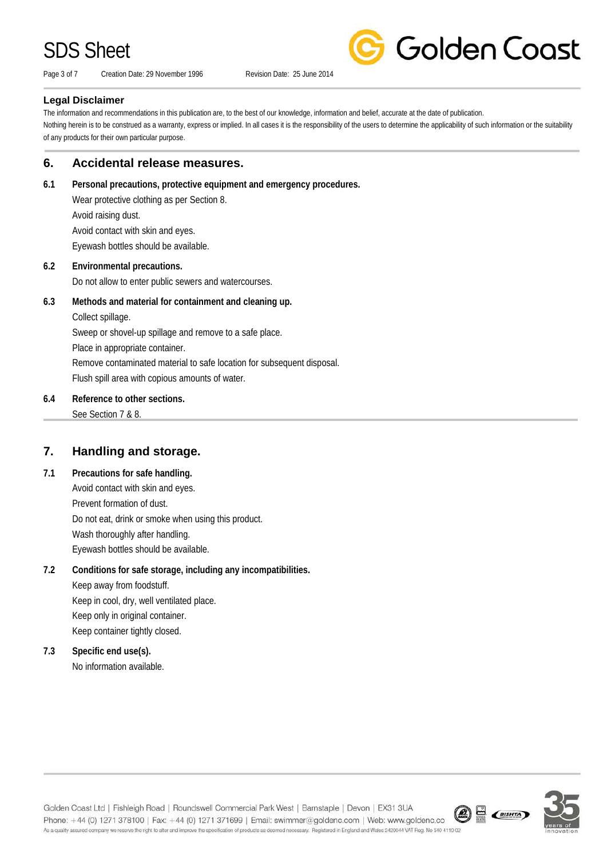Page 3 of 7 Creation Date: 29 November 1996 Revision Date: 25 June 2014



#### **Legal Disclaimer**

The information and recommendations in this publication are, to the best of our knowledge, information and belief, accurate at the date of publication. Nothing herein is to be construed as a warranty, express or implied. In all cases it is the responsibility of the users to determine the applicability of such information or the suitability of any products for their own particular purpose.

## **6. Accidental release measures.**

**6.1 Personal precautions, protective equipment and emergency procedures.**

Wear protective clothing as per Section 8. Avoid raising dust. Avoid contact with skin and eyes. Eyewash bottles should be available.

#### **6.2 Environmental precautions.**

Do not allow to enter public sewers and watercourses.

**6.3 Methods and material for containment and cleaning up.**

Collect spillage.

Sweep or shovel-up spillage and remove to a safe place.

Place in appropriate container.

Remove contaminated material to safe location for subsequent disposal.

Flush spill area with copious amounts of water.

### **6.4 Reference to other sections.**

See Section 7 & 8.

## **7. Handling and storage.**

### **7.1 Precautions for safe handling.**

Avoid contact with skin and eyes. Prevent formation of dust. Do not eat, drink or smoke when using this product. Wash thoroughly after handling. Eyewash bottles should be available.

## **7.2 Conditions for safe storage, including any incompatibilities.**

Keep away from foodstuff. Keep in cool, dry, well ventilated place. Keep only in original container. Keep container tightly closed.

## **7.3 Specific end use(s).**

No information available.



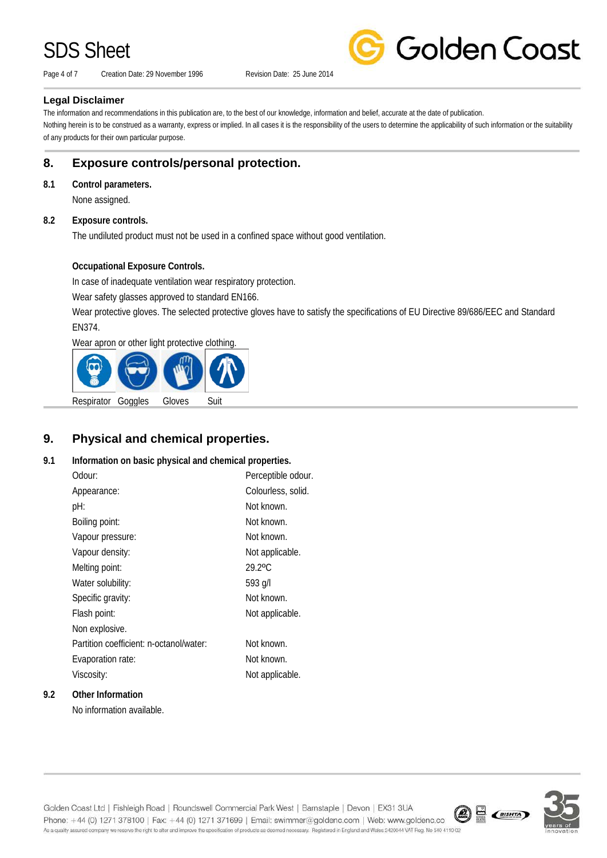Page 4 of 7 Creation Date: 29 November 1996 Revision Date: 25 June 2014

**Golden Coast** 

### **Legal Disclaimer**

The information and recommendations in this publication are, to the best of our knowledge, information and belief, accurate at the date of publication. Nothing herein is to be construed as a warranty, express or implied. In all cases it is the responsibility of the users to determine the applicability of such information or the suitability of any products for their own particular purpose.

## **8. Exposure controls/personal protection.**

#### **8.1 Control parameters.**

None assigned.

#### **8.2 Exposure controls.**

The undiluted product must not be used in a confined space without good ventilation.

### **Occupational Exposure Controls.**

In case of inadequate ventilation wear respiratory protection.

Wear safety glasses approved to standard EN166.

Wear protective gloves. The selected protective gloves have to satisfy the specifications of EU Directive 89/686/EEC and Standard EN374.

Wear apron or other light protective clothing.



## **9. Physical and chemical properties.**

### **9.1 Information on basic physical and chemical properties.**

| Odour:                                  | Perceptible odour. |
|-----------------------------------------|--------------------|
| Appearance:                             | Colourless, solid. |
| pH:                                     | Not known.         |
| Boiling point:                          | Not known.         |
| Vapour pressure:                        | Not known.         |
| Vapour density:                         | Not applicable.    |
| Melting point:                          | 29.2°C             |
| Water solubility:                       | 593 g/l            |
| Specific gravity:                       | Not known.         |
| Flash point:                            | Not applicable.    |
| Non explosive.                          |                    |
| Partition coefficient: n-octanol/water: | Not known.         |
| Evaporation rate:                       | Not known.         |
| Viscosity:                              | Not applicable.    |
|                                         |                    |

### **9.2 Other Information**

No information available.



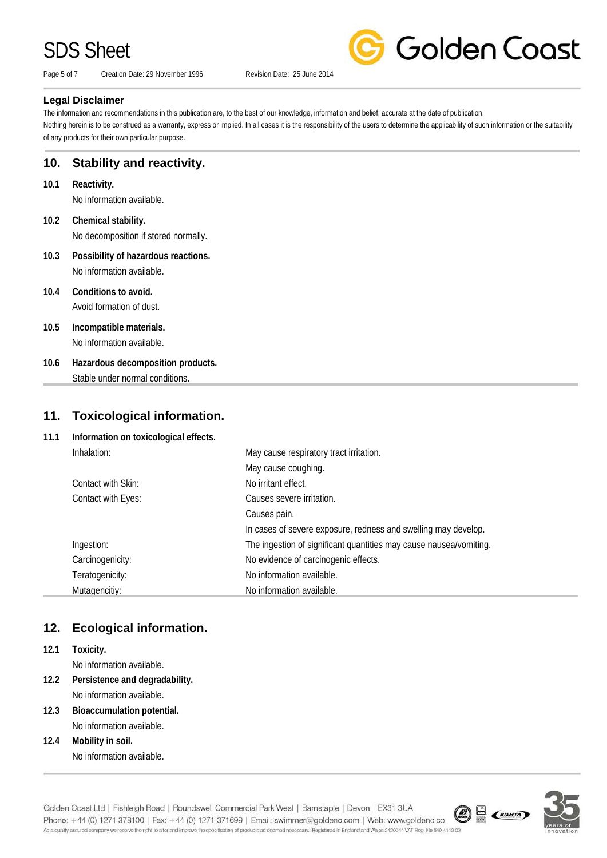Page 5 of 7 Creation Date: 29 November 1996 Revision Date: 25 June 2014



### **Legal Disclaimer**

The information and recommendations in this publication are, to the best of our knowledge, information and belief, accurate at the date of publication. Nothing herein is to be construed as a warranty, express or implied. In all cases it is the responsibility of the users to determine the applicability of such information or the suitability of any products for their own particular purpose.

## **10. Stability and reactivity.**

- **10.1 Reactivity.** No information available.
- **10.2 Chemical stability.** No decomposition if stored normally.
- **10.3 Possibility of hazardous reactions.** No information available.
- **10.4 Conditions to avoid.** Avoid formation of dust.
- **10.5 Incompatible materials.** No information available.
- **10.6 Hazardous decomposition products.** Stable under normal conditions.

## **11. Toxicological information.**

**11.1 Information on toxicological effects.**

| Inhalation:        | May cause respiratory tract irritation.                            |
|--------------------|--------------------------------------------------------------------|
|                    | May cause coughing.                                                |
| Contact with Skin: | No irritant effect.                                                |
| Contact with Eyes: | Causes severe irritation.                                          |
|                    | Causes pain.                                                       |
|                    | In cases of severe exposure, redness and swelling may develop.     |
| Ingestion:         | The ingestion of significant quantities may cause nausea/vomiting. |
| Carcinogenicity:   | No evidence of carcinogenic effects.                               |
| Teratogenicity:    | No information available.                                          |
| Mutagencitiy:      | No information available.                                          |

## **12. Ecological information.**

**12.1 Toxicity.**

No information available.

- **12.2 Persistence and degradability.** No information available.
- **12.3 Bioaccumulation potential.** No information available.
- **12.4 Mobility in soil.** No information available.

Golden Coast Ltd | Fishleigh Road | Roundswell Commercial Park West | Barnstaple | Devon | EX31 3UA  $\circledR$   $\circledR$   $\circledR$ Phone: +44 (0) 1271 378100 | Fax: +44 (0) 1271 371699 | Email: swimmer@goldenc.com | Web: www.goldenc.co As a quality assured company we reserve the right to alter and improve the specification of products as deemed necessary. Registered in England and Wales 2420044 VAT Reg. No 540 4110 02

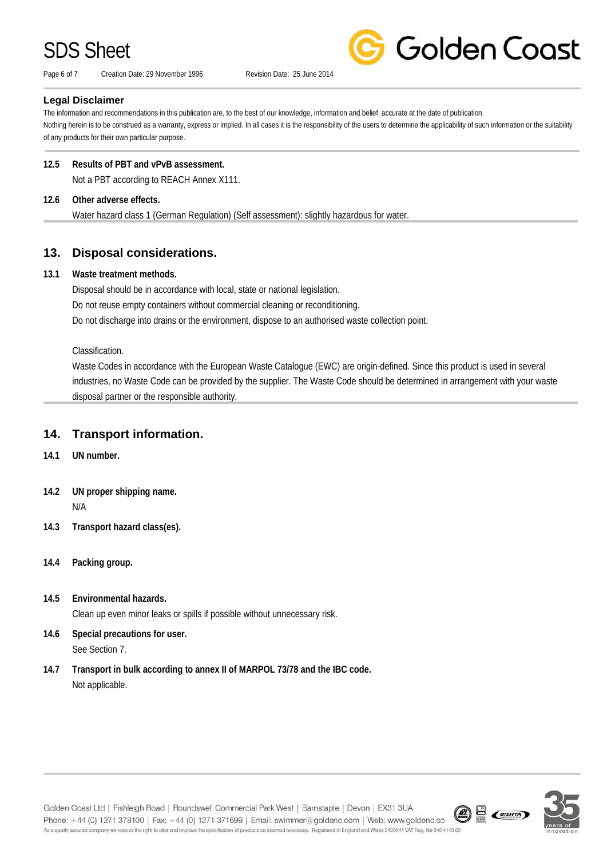Page 6 of 7 Creation Date: 29 November 1996 Revision Date: 25 June 2014



#### **Legal Disclaimer**

The information and recommendations in this publication are, to the best of our knowledge, information and belief, accurate at the date of publication. Nothing herein is to be construed as a warranty, express or implied. In all cases it is the responsibility of the users to determine the applicability of such information or the suitability of any products for their own particular purpose.

#### **12.5 Results of PBT and vPvB assessment.**

Not a PBT according to REACH Annex X111.

#### **12.6 Other adverse effects.**

Water hazard class 1 (German Regulation) (Self assessment): slightly hazardous for water.

## **13. Disposal considerations.**

#### **13.1 Waste treatment methods.**

Disposal should be in accordance with local, state or national legislation. Do not reuse empty containers without commercial cleaning or reconditioning. Do not discharge into drains or the environment, dispose to an authorised waste collection point.

Classification.

Waste Codes in accordance with the European Waste Catalogue (EWC) are origin-defined. Since this product is used in several industries, no Waste Code can be provided by the supplier. The Waste Code should be determined in arrangement with your waste disposal partner or the responsible authority.

## **14. Transport information.**

- **14.1 UN number.**
- **14.2 UN proper shipping name.** N/A
- **14.3 Transport hazard class(es).**
- **14.4 Packing group.**
- **14.5 Environmental hazards.** Clean up even minor leaks or spills if possible without unnecessary risk.
- **14.6 Special precautions for user.** See Section 7.
- **14.7 Transport in bulk according to annex II of MARPOL 73/78 and the IBC code.** Not applicable.